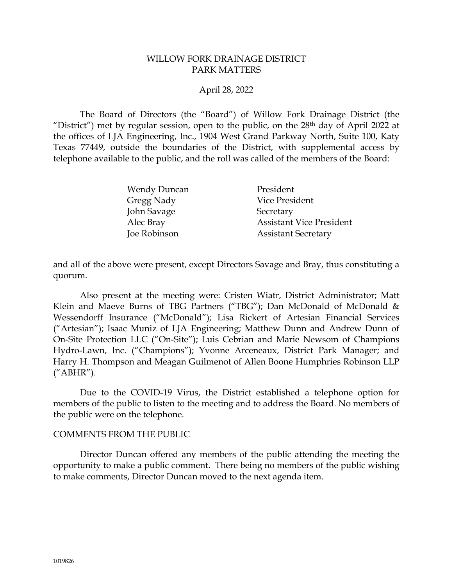#### WILLOW FORK DRAINAGE DISTRICT PARK MATTERS

### April 28, 2022

The Board of Directors (the "Board") of Willow Fork Drainage District (the "District") met by regular session, open to the public, on the 28<sup>th</sup> day of April 2022 at the offices of LJA Engineering, Inc., 1904 West Grand Parkway North, Suite 100, Katy Texas 77449, outside the boundaries of the District, with supplemental access by telephone available to the public, and the roll was called of the members of the Board:

| <b>Wendy Duncan</b> | President                       |
|---------------------|---------------------------------|
| Gregg Nady          | Vice President                  |
| John Savage         | Secretary                       |
| Alec Bray           | <b>Assistant Vice President</b> |
| Joe Robinson        | <b>Assistant Secretary</b>      |

and all of the above were present, except Directors Savage and Bray, thus constituting a quorum.

Also present at the meeting were: Cristen Wiatr, District Administrator; Matt Klein and Maeve Burns of TBG Partners ("TBG"); Dan McDonald of McDonald & Wessendorff Insurance ("McDonald"); Lisa Rickert of Artesian Financial Services ("Artesian"); Isaac Muniz of LJA Engineering; Matthew Dunn and Andrew Dunn of On-Site Protection LLC ("On-Site"); Luis Cebrian and Marie Newsom of Champions Hydro-Lawn, Inc. ("Champions"); Yvonne Arceneaux, District Park Manager; and Harry H. Thompson and Meagan Guilmenot of Allen Boone Humphries Robinson LLP ("ABHR").

Due to the COVID-19 Virus, the District established a telephone option for members of the public to listen to the meeting and to address the Board. No members of the public were on the telephone.

#### COMMENTS FROM THE PUBLIC

Director Duncan offered any members of the public attending the meeting the opportunity to make a public comment. There being no members of the public wishing to make comments, Director Duncan moved to the next agenda item.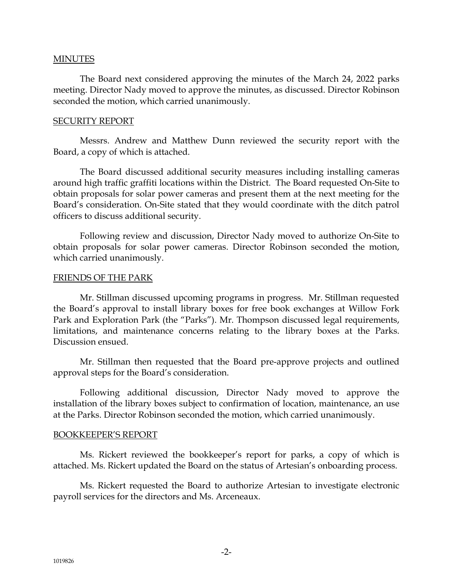#### MINUTES

The Board next considered approving the minutes of the March 24, 2022 parks meeting. Director Nady moved to approve the minutes, as discussed. Director Robinson seconded the motion, which carried unanimously.

#### SECURITY REPORT

Messrs. Andrew and Matthew Dunn reviewed the security report with the Board, a copy of which is attached.

The Board discussed additional security measures including installing cameras around high traffic graffiti locations within the District. The Board requested On-Site to obtain proposals for solar power cameras and present them at the next meeting for the Board's consideration. On-Site stated that they would coordinate with the ditch patrol officers to discuss additional security.

Following review and discussion, Director Nady moved to authorize On-Site to obtain proposals for solar power cameras. Director Robinson seconded the motion, which carried unanimously.

#### FRIENDS OF THE PARK

Mr. Stillman discussed upcoming programs in progress. Mr. Stillman requested the Board's approval to install library boxes for free book exchanges at Willow Fork Park and Exploration Park (the "Parks"). Mr. Thompson discussed legal requirements, limitations, and maintenance concerns relating to the library boxes at the Parks. Discussion ensued.

Mr. Stillman then requested that the Board pre-approve projects and outlined approval steps for the Board's consideration.

Following additional discussion, Director Nady moved to approve the installation of the library boxes subject to confirmation of location, maintenance, an use at the Parks. Director Robinson seconded the motion, which carried unanimously.

#### BOOKKEEPER'S REPORT

Ms. Rickert reviewed the bookkeeper's report for parks, a copy of which is attached. Ms. Rickert updated the Board on the status of Artesian's onboarding process.

Ms. Rickert requested the Board to authorize Artesian to investigate electronic payroll services for the directors and Ms. Arceneaux.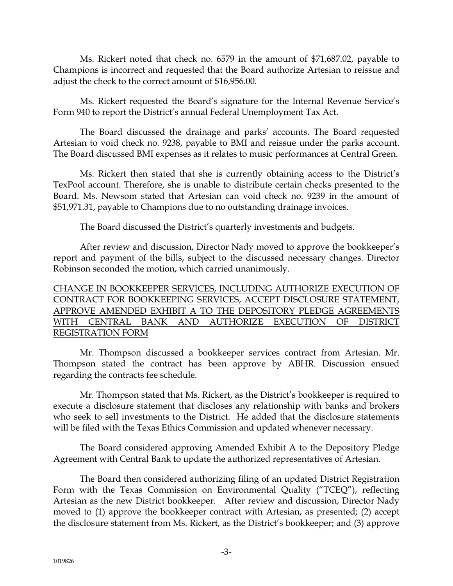Ms. Rickert noted that check no. 6579 in the amount of \$71,687.02, payable to Champions is incorrect and requested that the Board authorize Artesian to reissue and adjust the check to the correct amount of \$16,956.00.

Ms. Rickert requested the Board's signature for the Internal Revenue Service's Form 940 to report the District's annual Federal Unemployment Tax Act.

The Board discussed the drainage and parks' accounts. The Board requested Artesian to void check no. 9238, payable to BMI and reissue under the parks account. The Board discussed BMI expenses as it relates to music performances at Central Green.

Ms. Rickert then stated that she is currently obtaining access to the District's TexPool account. Therefore, she is unable to distribute certain checks presented to the Board. Ms. Newsom stated that Artesian can void check no. 9239 in the amount of \$51,971.31, payable to Champions due to no outstanding drainage invoices.

The Board discussed the District's quarterly investments and budgets.

After review and discussion, Director Nady moved to approve the bookkeeper's report and payment of the bills, subject to the discussed necessary changes. Director Robinson seconded the motion, which carried unanimously.

# CHANGE IN BOOKKEEPER SERVICES, INCLUDING AUTHORIZE EXECUTION OF CONTRACT FOR BOOKKEEPING SERVICES, ACCEPT DISCLOSURE STATEMENT, APPROVE AMENDED EXHIBIT A TO THE DEPOSITORY PLEDGE AGREEMENTS WITH CENTRAL BANK AND AUTHORIZE EXECUTION OF DISTRICT REGISTRATION FORM

Mr. Thompson discussed a bookkeeper services contract from Artesian. Mr. Thompson stated the contract has been approve by ABHR. Discussion ensued regarding the contracts fee schedule.

Mr. Thompson stated that Ms. Rickert, as the District's bookkeeper is required to execute a disclosure statement that discloses any relationship with banks and brokers who seek to sell investments to the District. He added that the disclosure statements will be filed with the Texas Ethics Commission and updated whenever necessary.

The Board considered approving Amended Exhibit A to the Depository Pledge Agreement with Central Bank to update the authorized representatives of Artesian.

The Board then considered authorizing filing of an updated District Registration Form with the Texas Commission on Environmental Quality ("TCEQ"), reflecting Artesian as the new District bookkeeper. After review and discussion, Director Nady moved to (1) approve the bookkeeper contract with Artesian, as presented; (2) accept the disclosure statement from Ms. Rickert, as the District's bookkeeper; and (3) approve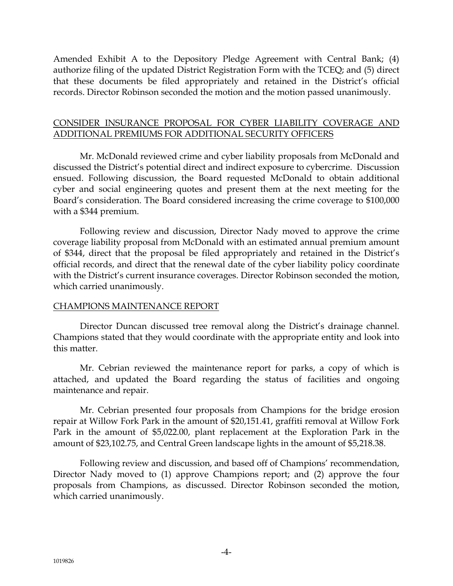Amended Exhibit A to the Depository Pledge Agreement with Central Bank; (4) authorize filing of the updated District Registration Form with the TCEQ; and (5) direct that these documents be filed appropriately and retained in the District's official records. Director Robinson seconded the motion and the motion passed unanimously.

## CONSIDER INSURANCE PROPOSAL FOR CYBER LIABILITY COVERAGE AND ADDITIONAL PREMIUMS FOR ADDITIONAL SECURITY OFFICERS

Mr. McDonald reviewed crime and cyber liability proposals from McDonald and discussed the District's potential direct and indirect exposure to cybercrime. Discussion ensued. Following discussion, the Board requested McDonald to obtain additional cyber and social engineering quotes and present them at the next meeting for the Board's consideration. The Board considered increasing the crime coverage to \$100,000 with a \$344 premium.

Following review and discussion, Director Nady moved to approve the crime coverage liability proposal from McDonald with an estimated annual premium amount of \$344, direct that the proposal be filed appropriately and retained in the District's official records, and direct that the renewal date of the cyber liability policy coordinate with the District's current insurance coverages. Director Robinson seconded the motion, which carried unanimously.

## CHAMPIONS MAINTENANCE REPORT

Director Duncan discussed tree removal along the District's drainage channel. Champions stated that they would coordinate with the appropriate entity and look into this matter.

Mr. Cebrian reviewed the maintenance report for parks, a copy of which is attached, and updated the Board regarding the status of facilities and ongoing maintenance and repair.

Mr. Cebrian presented four proposals from Champions for the bridge erosion repair at Willow Fork Park in the amount of \$20,151.41, graffiti removal at Willow Fork Park in the amount of \$5,022.00, plant replacement at the Exploration Park in the amount of \$23,102.75, and Central Green landscape lights in the amount of \$5,218.38.

Following review and discussion, and based off of Champions' recommendation, Director Nady moved to (1) approve Champions report; and (2) approve the four proposals from Champions, as discussed. Director Robinson seconded the motion, which carried unanimously.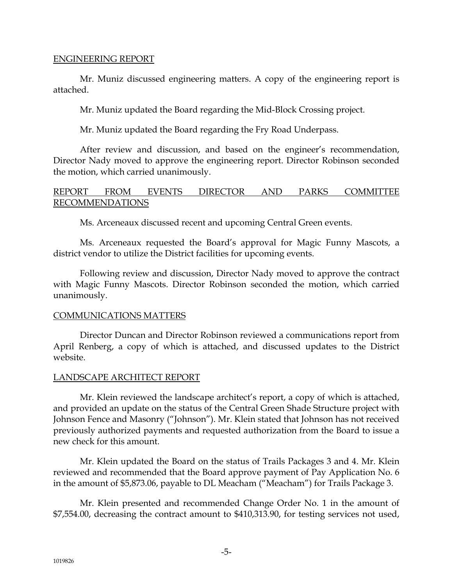### ENGINEERING REPORT

Mr. Muniz discussed engineering matters. A copy of the engineering report is attached.

Mr. Muniz updated the Board regarding the Mid-Block Crossing project.

Mr. Muniz updated the Board regarding the Fry Road Underpass.

After review and discussion, and based on the engineer's recommendation, Director Nady moved to approve the engineering report. Director Robinson seconded the motion, which carried unanimously.

## REPORT FROM EVENTS DIRECTOR AND PARKS COMMITTEE RECOMMENDATIONS

Ms. Arceneaux discussed recent and upcoming Central Green events.

Ms. Arceneaux requested the Board's approval for Magic Funny Mascots, a district vendor to utilize the District facilities for upcoming events.

Following review and discussion, Director Nady moved to approve the contract with Magic Funny Mascots. Director Robinson seconded the motion, which carried unanimously.

## COMMUNICATIONS MATTERS

Director Duncan and Director Robinson reviewed a communications report from April Renberg, a copy of which is attached, and discussed updates to the District website.

## LANDSCAPE ARCHITECT REPORT

Mr. Klein reviewed the landscape architect's report, a copy of which is attached, and provided an update on the status of the Central Green Shade Structure project with Johnson Fence and Masonry ("Johnson"). Mr. Klein stated that Johnson has not received previously authorized payments and requested authorization from the Board to issue a new check for this amount.

Mr. Klein updated the Board on the status of Trails Packages 3 and 4. Mr. Klein reviewed and recommended that the Board approve payment of Pay Application No. 6 in the amount of \$5,873.06, payable to DL Meacham ("Meacham") for Trails Package 3.

Mr. Klein presented and recommended Change Order No. 1 in the amount of \$7,554.00, decreasing the contract amount to \$410,313.90, for testing services not used,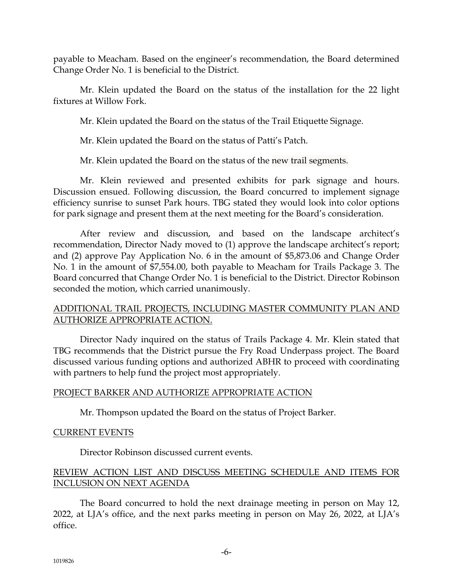payable to Meacham. Based on the engineer's recommendation, the Board determined Change Order No. 1 is beneficial to the District.

Mr. Klein updated the Board on the status of the installation for the 22 light fixtures at Willow Fork.

Mr. Klein updated the Board on the status of the Trail Etiquette Signage.

Mr. Klein updated the Board on the status of Patti's Patch.

Mr. Klein updated the Board on the status of the new trail segments.

Mr. Klein reviewed and presented exhibits for park signage and hours. Discussion ensued. Following discussion, the Board concurred to implement signage efficiency sunrise to sunset Park hours. TBG stated they would look into color options for park signage and present them at the next meeting for the Board's consideration.

After review and discussion, and based on the landscape architect's recommendation, Director Nady moved to (1) approve the landscape architect's report; and (2) approve Pay Application No. 6 in the amount of \$5,873.06 and Change Order No. 1 in the amount of \$7,554.00, both payable to Meacham for Trails Package 3. The Board concurred that Change Order No. 1 is beneficial to the District. Director Robinson seconded the motion, which carried unanimously.

## ADDITIONAL TRAIL PROJECTS, INCLUDING MASTER COMMUNITY PLAN AND AUTHORIZE APPROPRIATE ACTION.

Director Nady inquired on the status of Trails Package 4. Mr. Klein stated that TBG recommends that the District pursue the Fry Road Underpass project. The Board discussed various funding options and authorized ABHR to proceed with coordinating with partners to help fund the project most appropriately.

## PROJECT BARKER AND AUTHORIZE APPROPRIATE ACTION

Mr. Thompson updated the Board on the status of Project Barker.

## CURRENT EVENTS

Director Robinson discussed current events.

# REVIEW ACTION LIST AND DISCUSS MEETING SCHEDULE AND ITEMS FOR INCLUSION ON NEXT AGENDA

The Board concurred to hold the next drainage meeting in person on May 12, 2022, at LJA's office, and the next parks meeting in person on May 26, 2022, at LJA's office.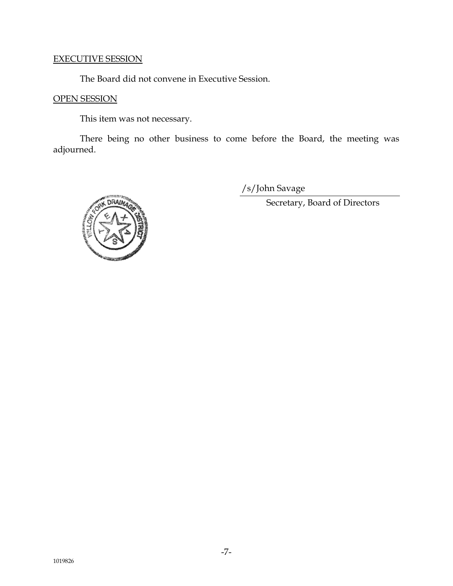### EXECUTIVE SESSION

The Board did not convene in Executive Session.

# OPEN SESSION

This item was not necessary.

There being no other business to come before the Board, the meeting was adjourned.

/s/John Savage

Secretary, Board of Directors